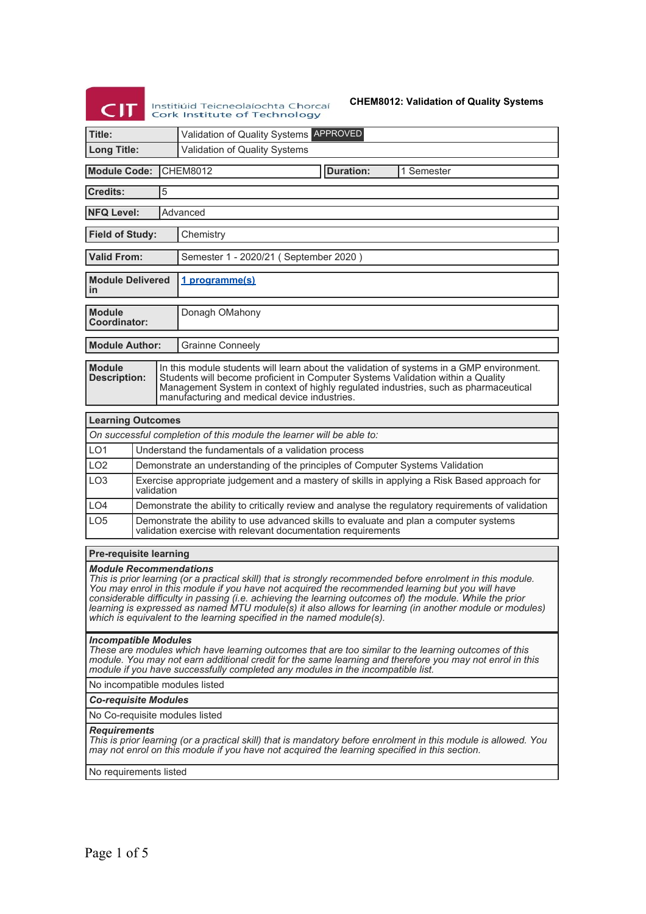# $CIT$ Institiúid Teicneolaíochta Chorcaí<br>Cork Institute of Technology

**CHEM8012: Validation of Quality Systems**

| Title:                                                                                                                                                                                                                                                                                                                                                                                                                                                                                                                                           |                                                     |                                                                                                                                                        | Validation of Quality Systems APPROVED                                                                                                                                                                                                                                                                             |  |  |  |  |
|--------------------------------------------------------------------------------------------------------------------------------------------------------------------------------------------------------------------------------------------------------------------------------------------------------------------------------------------------------------------------------------------------------------------------------------------------------------------------------------------------------------------------------------------------|-----------------------------------------------------|--------------------------------------------------------------------------------------------------------------------------------------------------------|--------------------------------------------------------------------------------------------------------------------------------------------------------------------------------------------------------------------------------------------------------------------------------------------------------------------|--|--|--|--|
| <b>Long Title:</b>                                                                                                                                                                                                                                                                                                                                                                                                                                                                                                                               |                                                     |                                                                                                                                                        | Validation of Quality Systems                                                                                                                                                                                                                                                                                      |  |  |  |  |
| <b>CHEM8012</b><br><b>Duration:</b><br><b>Module Code:</b><br>1 Semester                                                                                                                                                                                                                                                                                                                                                                                                                                                                         |                                                     |                                                                                                                                                        |                                                                                                                                                                                                                                                                                                                    |  |  |  |  |
| <b>Credits:</b>                                                                                                                                                                                                                                                                                                                                                                                                                                                                                                                                  |                                                     | 5                                                                                                                                                      |                                                                                                                                                                                                                                                                                                                    |  |  |  |  |
| <b>NFQ Level:</b><br>Advanced                                                                                                                                                                                                                                                                                                                                                                                                                                                                                                                    |                                                     |                                                                                                                                                        |                                                                                                                                                                                                                                                                                                                    |  |  |  |  |
| <b>Field of Study:</b><br>Chemistry                                                                                                                                                                                                                                                                                                                                                                                                                                                                                                              |                                                     |                                                                                                                                                        |                                                                                                                                                                                                                                                                                                                    |  |  |  |  |
| <b>Valid From:</b>                                                                                                                                                                                                                                                                                                                                                                                                                                                                                                                               |                                                     |                                                                                                                                                        | Semester 1 - 2020/21 (September 2020)                                                                                                                                                                                                                                                                              |  |  |  |  |
| <b>Module Delivered</b><br>in                                                                                                                                                                                                                                                                                                                                                                                                                                                                                                                    |                                                     |                                                                                                                                                        | 1 programme(s)                                                                                                                                                                                                                                                                                                     |  |  |  |  |
| <b>Module</b><br>Coordinator:                                                                                                                                                                                                                                                                                                                                                                                                                                                                                                                    |                                                     |                                                                                                                                                        | Donagh OMahony                                                                                                                                                                                                                                                                                                     |  |  |  |  |
| <b>Module Author:</b>                                                                                                                                                                                                                                                                                                                                                                                                                                                                                                                            |                                                     |                                                                                                                                                        | <b>Grainne Conneely</b>                                                                                                                                                                                                                                                                                            |  |  |  |  |
| <b>Module</b><br><b>Description:</b>                                                                                                                                                                                                                                                                                                                                                                                                                                                                                                             |                                                     |                                                                                                                                                        | In this module students will learn about the validation of systems in a GMP environment.<br>Students will become proficient in Computer Systems Validation within a Quality<br>Management System in context of highly regulated industries, such as pharmaceutical<br>manufacturing and medical device industries. |  |  |  |  |
| <b>Learning Outcomes</b>                                                                                                                                                                                                                                                                                                                                                                                                                                                                                                                         |                                                     |                                                                                                                                                        |                                                                                                                                                                                                                                                                                                                    |  |  |  |  |
|                                                                                                                                                                                                                                                                                                                                                                                                                                                                                                                                                  |                                                     |                                                                                                                                                        | On successful completion of this module the learner will be able to:                                                                                                                                                                                                                                               |  |  |  |  |
| LO <sub>1</sub>                                                                                                                                                                                                                                                                                                                                                                                                                                                                                                                                  | Understand the fundamentals of a validation process |                                                                                                                                                        |                                                                                                                                                                                                                                                                                                                    |  |  |  |  |
| LO <sub>2</sub>                                                                                                                                                                                                                                                                                                                                                                                                                                                                                                                                  |                                                     | Demonstrate an understanding of the principles of Computer Systems Validation                                                                          |                                                                                                                                                                                                                                                                                                                    |  |  |  |  |
| LO <sub>3</sub>                                                                                                                                                                                                                                                                                                                                                                                                                                                                                                                                  |                                                     | Exercise appropriate judgement and a mastery of skills in applying a Risk Based approach for<br>validation                                             |                                                                                                                                                                                                                                                                                                                    |  |  |  |  |
| LO <sub>4</sub>                                                                                                                                                                                                                                                                                                                                                                                                                                                                                                                                  |                                                     | Demonstrate the ability to critically review and analyse the regulatory requirements of validation                                                     |                                                                                                                                                                                                                                                                                                                    |  |  |  |  |
| LO <sub>5</sub>                                                                                                                                                                                                                                                                                                                                                                                                                                                                                                                                  |                                                     | Demonstrate the ability to use advanced skills to evaluate and plan a computer systems<br>validation exercise with relevant documentation requirements |                                                                                                                                                                                                                                                                                                                    |  |  |  |  |
| <b>Pre-requisite learning</b>                                                                                                                                                                                                                                                                                                                                                                                                                                                                                                                    |                                                     |                                                                                                                                                        |                                                                                                                                                                                                                                                                                                                    |  |  |  |  |
| <b>Module Recommendations</b><br>This is prior learning (or a practical skill) that is strongly recommended before enrolment in this module.<br>You may enrol in this module if you have not acquired the recommended learning but you will have<br>considerable difficulty in passing (i.e. achieving the learning outcomes of) the module. While the prior<br>learning is expressed as named MTU module(s) it also allows for learning (in another module or modules)<br>which is equivalent to the learning specified in the named module(s). |                                                     |                                                                                                                                                        |                                                                                                                                                                                                                                                                                                                    |  |  |  |  |
| <b>Incompatible Modules</b><br>These are modules which have learning outcomes that are too similar to the learning outcomes of this<br>module. You may not earn additional credit for the same learning and therefore you may not enrol in this<br>module if you have successfully completed any modules in the incompatible list.                                                                                                                                                                                                               |                                                     |                                                                                                                                                        |                                                                                                                                                                                                                                                                                                                    |  |  |  |  |
| No incompatible modules listed                                                                                                                                                                                                                                                                                                                                                                                                                                                                                                                   |                                                     |                                                                                                                                                        |                                                                                                                                                                                                                                                                                                                    |  |  |  |  |
| <b>Co-requisite Modules</b>                                                                                                                                                                                                                                                                                                                                                                                                                                                                                                                      |                                                     |                                                                                                                                                        |                                                                                                                                                                                                                                                                                                                    |  |  |  |  |
|                                                                                                                                                                                                                                                                                                                                                                                                                                                                                                                                                  |                                                     |                                                                                                                                                        | No Co-requisite modules listed                                                                                                                                                                                                                                                                                     |  |  |  |  |
| <b>Requirements</b><br>This is prior learning (or a practical skill) that is mandatory before enrolment in this module is allowed. You<br>may not enrol on this module if you have not acquired the learning specified in this section.                                                                                                                                                                                                                                                                                                          |                                                     |                                                                                                                                                        |                                                                                                                                                                                                                                                                                                                    |  |  |  |  |
| No requirements listed                                                                                                                                                                                                                                                                                                                                                                                                                                                                                                                           |                                                     |                                                                                                                                                        |                                                                                                                                                                                                                                                                                                                    |  |  |  |  |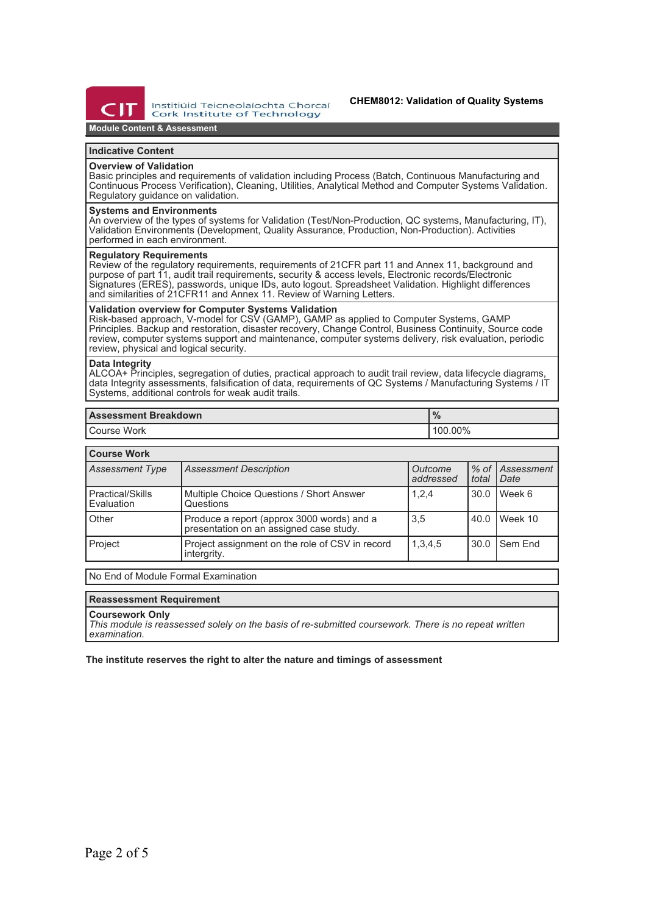

Institiúid Teicneolaíochta Chorcaí Cork Institute of Technology

## **Module Content & Assessment**

## **Indicative Content**

## **Overview of Validation**

Basic principles and requirements of validation including Process (Batch, Continuous Manufacturing and Continuous Process Verification), Cleaning, Utilities, Analytical Method and Computer Systems Validation. Regulatory guidance on validation.

#### **Systems and Environments**

An overview of the types of systems for Validation (Test/Non-Production, QC systems, Manufacturing, IT), Validation Environments (Development, Quality Assurance, Production, Non-Production). Activities performed in each environment.

#### **Regulatory Requirements**

Review of the regulatory requirements, requirements of 21CFR part 11 and Annex 11, background and purpose of part 11, audit trail requirements, security & access levels, Electronic records/Electronic Signatures (ERES), passwords, unique IDs, auto logout. Spreadsheet Validation. Highlight differences and similarities of 21CFR11 and Annex 11. Review of Warning Letters.

## **Validation overview for Computer Systems Validation**

Risk-based approach, V-model for CSV (GAMP), GAMP as applied to Computer Systems, GAMP Principles. Backup and restoration, disaster recovery, Change Control, Business Continuity, Source code review, computer systems support and maintenance, computer systems delivery, risk evaluation, periodic review, physical and logical security.

## **Data Integrity**

ALCOA+ Principles, segregation of duties, practical approach to audit trail review, data lifecycle diagrams, data Integrity assessments, falsification of data, requirements of QC Systems / Manufacturing Systems / IT Systems, additional controls for weak audit trails.

| <b>Assessment Breakdown</b> | 70      |  |  |
|-----------------------------|---------|--|--|
| Course Work                 | 100.00% |  |  |

## **Course Work**

| <b>Assessment Type</b>         | <b>Assessment Description</b>                                                         | Outcome<br>addressed | l total | % of Assessment<br><i>Date</i> |
|--------------------------------|---------------------------------------------------------------------------------------|----------------------|---------|--------------------------------|
| Practical/Skills<br>Evaluation | Multiple Choice Questions / Short Answer<br>Questions                                 | 1,2,4                | 30.0    | Week 6                         |
| Other                          | Produce a report (approx 3000 words) and a<br>presentation on an assigned case study. | 3,5                  | 40.0    | Week 10                        |
| Project                        | Project assignment on the role of CSV in record<br>intergrity.                        | 1,3,4,5              | 30.0    | I Sem End                      |

No End of Module Formal Examination

#### **Reassessment Requirement**

#### **Coursework Only**

*This module is reassessed solely on the basis of re-submitted coursework. There is no repeat written examination.*

### **The institute reserves the right to alter the nature and timings of assessment**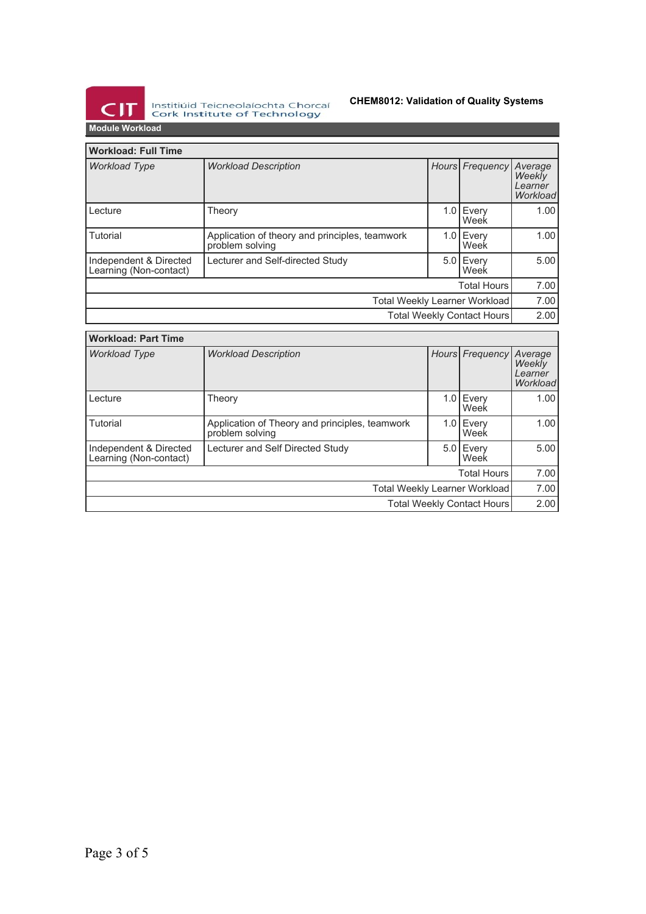

Institiúid Teicneolaíochta Chorcaí<br>Cork Institute of Technology

# **CHEM8012: Validation of Quality Systems**

**Module Workload**

| <b>Workload: Full Time</b>                       |                                                                   |  |                   |                                          |  |
|--------------------------------------------------|-------------------------------------------------------------------|--|-------------------|------------------------------------------|--|
| <b>Workload Type</b>                             | <b>Workload Description</b>                                       |  | Hours Frequency   | Average<br>Weekly<br>Learner<br>Workload |  |
| Lecture                                          | Theory                                                            |  | 1.0 Every<br>Week | 1.00                                     |  |
| Tutorial                                         | Application of theory and principles, teamwork<br>problem solving |  | 1.0 Every<br>Week | 1.00                                     |  |
| Independent & Directed<br>Learning (Non-contact) | Lecturer and Self-directed Study                                  |  | 5.0 Every<br>Week | 5.00                                     |  |
| <b>Total Hours</b>                               |                                                                   |  |                   | 7.00                                     |  |
| Total Weekly Learner Workload                    |                                                                   |  |                   | 7.00                                     |  |
| <b>Total Weekly Contact Hours</b>                |                                                                   |  |                   | 2.00                                     |  |

| <b>Workload: Part Time</b>                       |                                                                   |  |                   |                                          |  |
|--------------------------------------------------|-------------------------------------------------------------------|--|-------------------|------------------------------------------|--|
| <b>Workload Type</b>                             | <b>Workload Description</b>                                       |  | Hours Frequency   | Average<br>Weekly<br>Learner<br>Workload |  |
| Lecture                                          | Theory                                                            |  | 1.0 Every<br>Week | 1.00                                     |  |
| Tutorial                                         | Application of Theory and principles, teamwork<br>problem solving |  | 1.0 Every<br>Week | 1.00                                     |  |
| Independent & Directed<br>Learning (Non-contact) | Lecturer and Self Directed Study                                  |  | 5.0 Every<br>Week | 5.00                                     |  |
| <b>Total Hours</b>                               |                                                                   |  |                   | 7.00                                     |  |
| Total Weekly Learner Workload                    |                                                                   |  |                   | 7.00                                     |  |
| <b>Total Weekly Contact Hours</b>                |                                                                   |  |                   | 2.00                                     |  |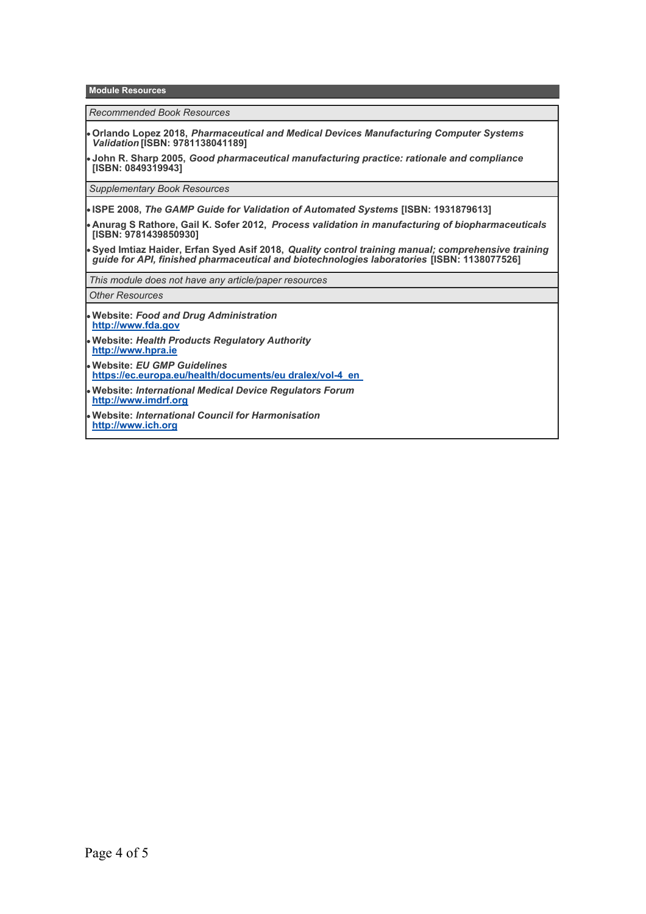**Module Resources**

*Recommended Book Resources*

**Orlando Lopez 2018,** *Pharmaceutical and Medical Devices Manufacturing Computer Systems Validation* **[ISBN: 9781138041189]**

**John R. Sharp 2005,** *Good pharmaceutical manufacturing practice: rationale and compliance* **[ISBN: 0849319943]**

*Supplementary Book Resources*

**ISPE 2008,** *The GAMP Guide for Validation of Automated Systems* **[ISBN: 1931879613]**

**Anurag S Rathore, Gail K. Sofer 2012,** *Process validation in manufacturing of biopharmaceuticals* **[ISBN: 9781439850930]**

**Syed Imtiaz Haider, Erfan Syed Asif 2018,** *Quality control training manual; comprehensive training guide for API, finished pharmaceutical and biotechnologies laboratories* **[ISBN: 1138077526]**

*This module does not have any article/paper resources*

*Other Resources*

- **Website:** *Food and Drug Administration* **<http://www.fda.gov>**
- **Website:** *Health Products Regulatory Authority* **<http://www.hpra.ie>**
- **Website:** *EU GMP Guidelines* **[https://ec.europa.eu/health/documents/eu dralex/vol-4\\_en](https://ec.europa.eu/health/documents/eu dralex/vol-4_en)**
- **Website:** *International Medical Device Regulators Forum*  **<http://www.imdrf.org>**
- **Website:** *International Council for Harmonisation* **<http://www.ich.org>**